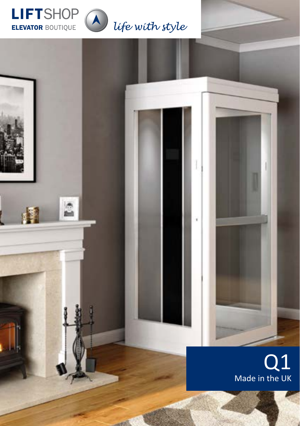



**Lease** 

## Q1 Made in the UK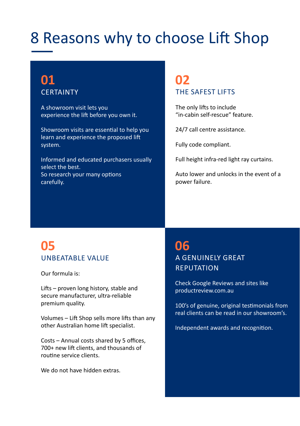# 8 Reasons why to choose Lift Shop

#### **01 CERTAINTY**

A showroom visit lets you experience the lift before you own it.

Showroom visits are essential to help you learn and experience the proposed lift system.

Informed and educated purchasers usually select the best. So research your many options carefully.

#### **02** THE SAFEST LIFTS

The only lifts to include "in-cabin self-rescue" feature.

24/7 call centre assistance.

Fully code compliant.

Full height infra-red light ray curtains.

Auto lower and unlocks in the event of a power failure.

## **05** UNBEATABLE VALUE

Our formula is:

Lifts – proven long history, stable and secure manufacturer, ultra-reliable premium quality.

Volumes – Lift Shop sells more lifts than any other Australian home lift specialist.

Costs – Annual costs shared by 5 offices, 700+ new lift clients, and thousands of routine service clients.

We do not have hidden extras.

#### **06**  A GENUINELY GREAT REPUTATION

Check Google Reviews and sites like productreview.com.au

100's of genuine, original testimonials from real clients can be read in our showroom's.

Independent awards and recognition.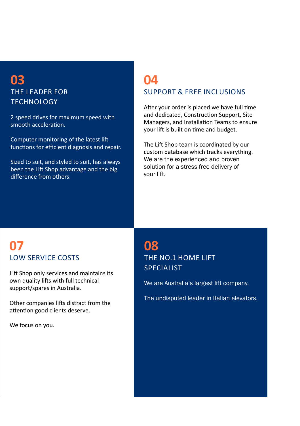### **03** THE LEADER FOR **TECHNOLOGY**

2 speed drives for maximum speed with smooth acceleration.

Computer monitoring of the latest lift functions for efficient diagnosis and repair.

Sized to suit, and styled to suit, has always been the Lift Shop advantage and the big difference from others.

#### **04** SUPPORT & FREE INCLUSIONS

After your order is placed we have full time and dedicated, Construction Support, Site Managers, and Installation Teams to ensure your lift is built on time and budget.

The Lift Shop team is coordinated by our custom database which tracks everything. We are the experienced and proven solution for a stress-free delivery of your lift.

## **07** LOW SERVICE COSTS

Lift Shop only services and maintains its own quality lifts with full technical support/spares in Australia.

Other companies lifts distract from the attention good clients deserve.

We focus on you.

#### **08** THE NO.1 HOME LIFT SPECIALIST

We are Australia's largest lift company.

The undisputed leader in Italian elevators.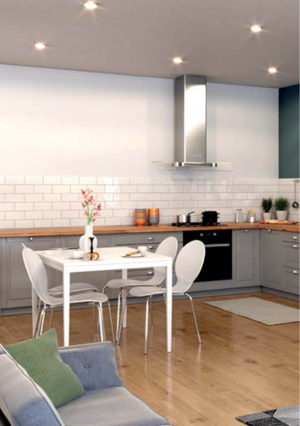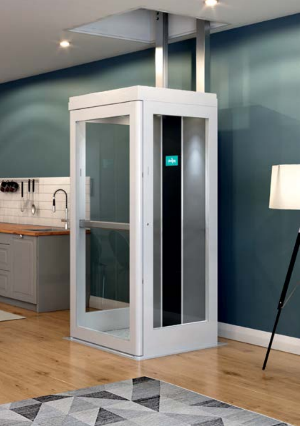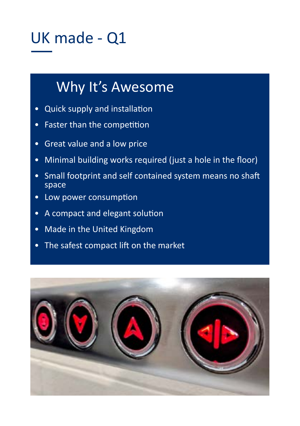# UK made - Q1

## Why It's Awesome

- Quick supply and installation
- Faster than the competition
- Great value and a low price
- Minimal building works required (just a hole in the floor)
- Small footprint and self contained system means no shaft space
- Low power consumption
- A compact and elegant solution
- Made in the United Kingdom
- The safest compact lift on the market

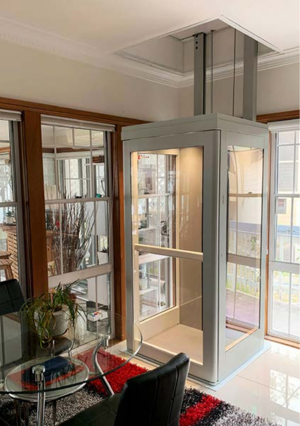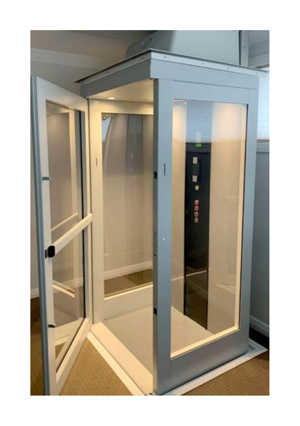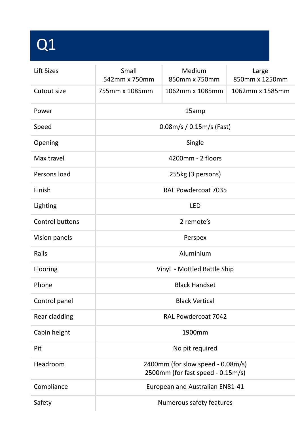# $Q1$

| Lift Sizes             | Small<br>542mm x 750mm                                                 | Medium<br>850mm x 750mm | Large<br>850mm x 1250mm |  |
|------------------------|------------------------------------------------------------------------|-------------------------|-------------------------|--|
| Cutout size            | 755mm x 1085mm                                                         | 1062mm x 1085mm         | 1062mm x 1585mm         |  |
| Power                  | 15amp                                                                  |                         |                         |  |
| Speed                  | 0.08m/s / 0.15m/s (Fast)                                               |                         |                         |  |
| Opening                | Single                                                                 |                         |                         |  |
| Max travel             | 4200mm - 2 floors                                                      |                         |                         |  |
| Persons load           | 255kg (3 persons)                                                      |                         |                         |  |
| Finish                 | RAL Powdercoat 7035                                                    |                         |                         |  |
| Lighting               | <b>LED</b>                                                             |                         |                         |  |
| <b>Control buttons</b> | 2 remote's                                                             |                         |                         |  |
| Vision panels          | Perspex                                                                |                         |                         |  |
| Rails                  | Aluminium                                                              |                         |                         |  |
| Flooring               | Vinyl - Mottled Battle Ship                                            |                         |                         |  |
| Phone                  | <b>Black Handset</b>                                                   |                         |                         |  |
| Control panel          | <b>Black Vertical</b>                                                  |                         |                         |  |
| Rear cladding          | RAL Powdercoat 7042                                                    |                         |                         |  |
| Cabin height           | 1900mm                                                                 |                         |                         |  |
| Pit                    | No pit required                                                        |                         |                         |  |
| Headroom               | 2400mm (for slow speed - 0.08m/s)<br>2500mm (for fast speed - 0.15m/s) |                         |                         |  |
| Compliance             | European and Australian EN81-41                                        |                         |                         |  |
| Safety                 | Numerous safety features                                               |                         |                         |  |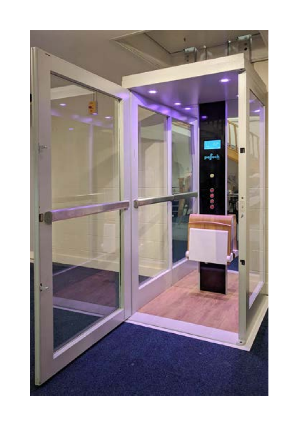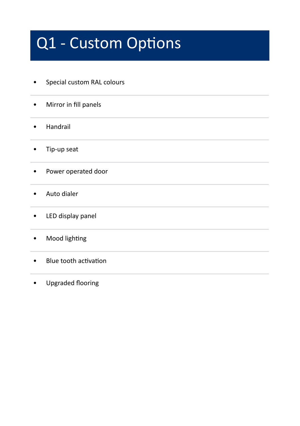# Q1 - Custom Options

- Special custom RAL colours
- Mirror in fill panels
- Handrail
- Tip-up seat
- Power operated door
- Auto dialer
- LED display panel
- Mood lighting
- Blue tooth activation
- Upgraded flooring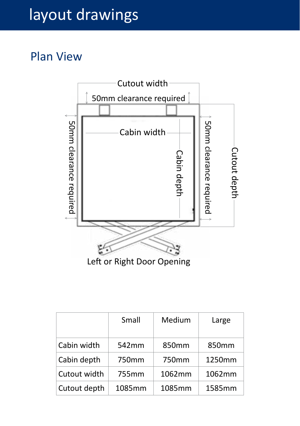# layout drawings

## Plan View



|              | Small  | Medium | Large  |
|--------------|--------|--------|--------|
| Cabin width  | 542mm  | 850mm  | 850mm  |
| Cabin depth  | 750mm  | 750mm  | 1250mm |
| Cutout width | 755mm  | 1062mm | 1062mm |
| Cutout depth | 1085mm | 1085mm | 1585mm |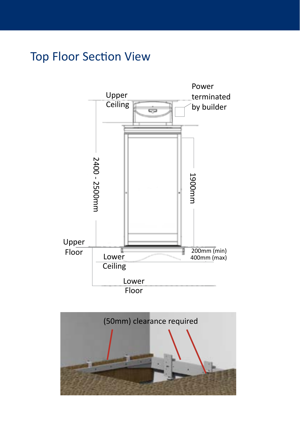## Top Floor Section View



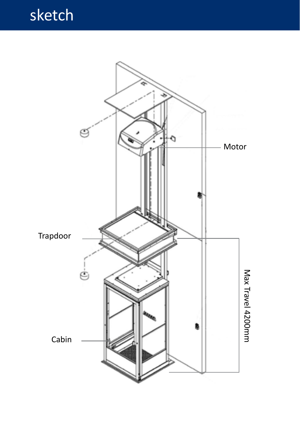

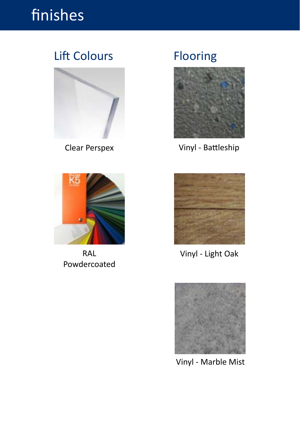## finishes

## Lift Colours Flooring



Clear Perspex



RAL Powdercoated



Vinyl - Battleship



Vinyl - Light Oak



Vinyl - Marble Mist